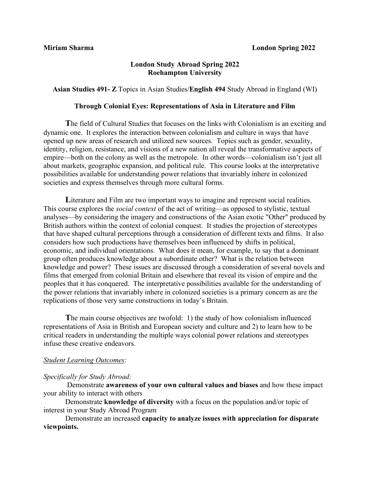# **London Study Abroad Spring 2022 Roehampton University**

**Asian Studies 491- Z** Topics in Asian Studies/**English 494** Study Abroad in England (WI)

# **Through Colonial Eyes: Representations of Asia in Literature and Film**

**T**he field of Cultural Studies that focuses on the links with Colonialism is an exciting and dynamic one. It explores the interaction between colonialism and culture in ways that have opened up new areas of research and utilized new sources. Topics such as gender, sexuality, identity, religion, resistance, and visions of a new nation all reveal the transformative aspects of empire—both on the colony as well as the metropole. In other words—colonialism isn't just all about markets, geographic expansion, and political rule. This course looks at the interpretative possibilities available for understanding power relations that invariably inhere in colonized societies and express themselves through more cultural forms.

Literature and Film are two important ways to imagine and represent social realities. This course explores the *social context* of the act of writing—as opposed to stylistic, textual analyses—by considering the imagery and constructions of the Asian exotic "Other" produced by British authors within the context of colonial conquest. It studies the projection of stereotypes that have shaped cultural perceptions through a consideration of different texts and films. It also considers how such productions have themselves been influenced by shifts in political, economic, and individual orientations. What does it mean, for example, to say that a dominant group often produces knowledge about a subordinate other? What is the relation between knowledge and power? These issues are discussed through a consideration of several novels and films that emerged from colonial Britain and elsewhere that reveal its vision of empire and the peoples that it has conquered. The interpretative possibilities available for the understanding of the power relations that invariably inhere in colonized societies is a primary concern as are the replications of those very same constructions in today's Britain.

**T**he main course objectives are twofold: 1) the study of how colonialism influenced representations of Asia in British and European society and culture and 2) to learn how to be critical readers in understanding the multiple ways colonial power relations and stereotypes infuse these creative endeavors.

# *Student Learning Outcomes:*

# *Specifically for Study Abroad:*

Demonstrate **awareness of your own cultural values and biases** and how these impact your ability to interact with others

Demonstrate **knowledge of diversity** with a focus on the population and/or topic of interest in your Study Abroad Program

Demonstrate an increased **capacity to analyze issues with appreciation for disparate viewpoints.**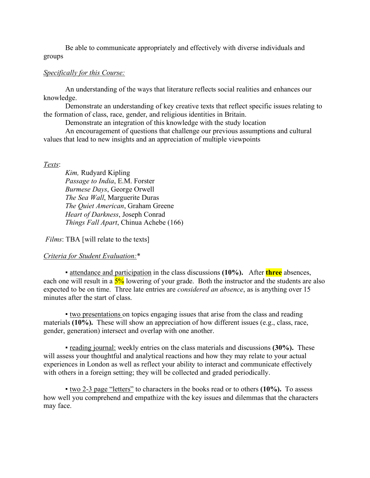Be able to communicate appropriately and effectively with diverse individuals and groups

# *Specifically for this Course:*

An understanding of the ways that literature reflects social realities and enhances our knowledge.

Demonstrate an understanding of key creative texts that reflect specific issues relating to the formation of class, race, gender, and religious identities in Britain.

Demonstrate an integration of this knowledge with the study location

An encouragement of questions that challenge our previous assumptions and cultural values that lead to new insights and an appreciation of multiple viewpoints

#### *Texts*:

*Kim,* Rudyard Kipling *Passage to India*, E.M. Forster  *Burmese Days*, George Orwell *The Sea Wall*, Marguerite Duras *The Quiet American*, Graham Greene *Heart of Darkness*, Joseph Conrad *Things Fall Apart*, Chinua Achebe (166)

*Films*: TBA [will relate to the texts]

#### *Criteria for Student Evaluation:*\*

▪ attendance and participation in the class discussions **(10%).**After **three** absences, each one will result in a  $\frac{5\%}{5\%}$  lowering of your grade. Both the instructor and the students are also expected to be on time. Three late entries are *considered an absence*, as is anything over 15 minutes after the start of class.

▪ two presentations on topics engaging issues that arise from the class and reading materials **(10%).** These will show an appreciation of how different issues (e.g., class, race, gender, generation) intersect and overlap with one another.

▪ reading journal: weekly entries on the class materials and discussions **(30%).** These will assess your thoughtful and analytical reactions and how they may relate to your actual experiences in London as well as reflect your ability to interact and communicate effectively with others in a foreign setting; they will be collected and graded periodically.

▪ two 2-3 page "letters" to characters in the books read or to others **(10%).** To assess how well you comprehend and empathize with the key issues and dilemmas that the characters may face.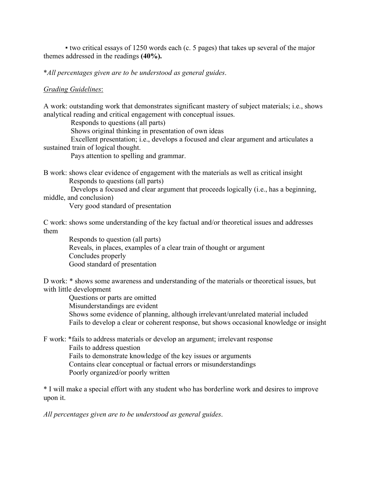▪ two critical essays of 1250 words each (c. 5 pages) that takes up several of the major themes addressed in the readings **(40%).** 

\**All percentages given are to be understood as general guides*.

#### *Grading Guidelines*:

A work: outstanding work that demonstrates significant mastery of subject materials; i.e., shows analytical reading and critical engagement with conceptual issues.

Responds to questions (all parts)

Shows original thinking in presentation of own ideas

 Excellent presentation; i.e., develops a focused and clear argument and articulates a sustained train of logical thought.

Pays attention to spelling and grammar.

B work: shows clear evidence of engagement with the materials as well as critical insight Responds to questions (all parts)

 Develops a focused and clear argument that proceeds logically (i.e., has a beginning, middle, and conclusion)

Very good standard of presentation

C work: shows some understanding of the key factual and/or theoretical issues and addresses them

 Responds to question (all parts) Reveals, in places, examples of a clear train of thought or argument Concludes properly Good standard of presentation

D work: \* shows some awareness and understanding of the materials or theoretical issues, but with little development

 Questions or parts are omitted Misunderstandings are evident Shows some evidence of planning, although irrelevant/unrelated material included Fails to develop a clear or coherent response, but shows occasional knowledge or insight

F work: \*fails to address materials or develop an argument; irrelevant response Fails to address question Fails to demonstrate knowledge of the key issues or arguments Contains clear conceptual or factual errors or misunderstandings Poorly organized/or poorly written

\* I will make a special effort with any student who has borderline work and desires to improve upon it.

*All percentages given are to be understood as general guides*.